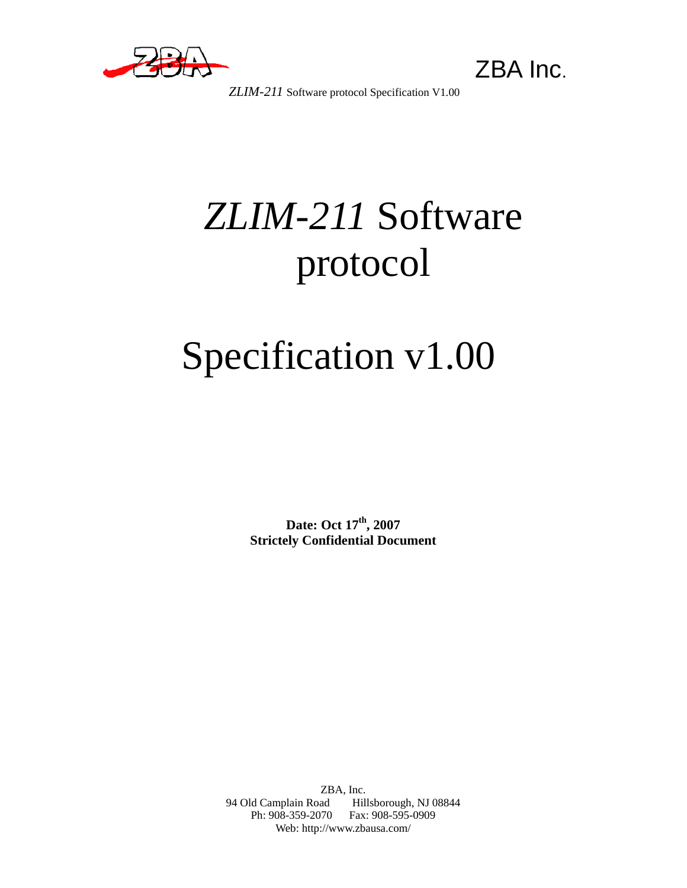

 *ZLIM-211* Software protocol Specification V1.00

# *ZLIM-211* Software protocol

# Specification v1.00

Date: Oct  $17<sup>th</sup>$ , 2007 **Strictely Confidential Document**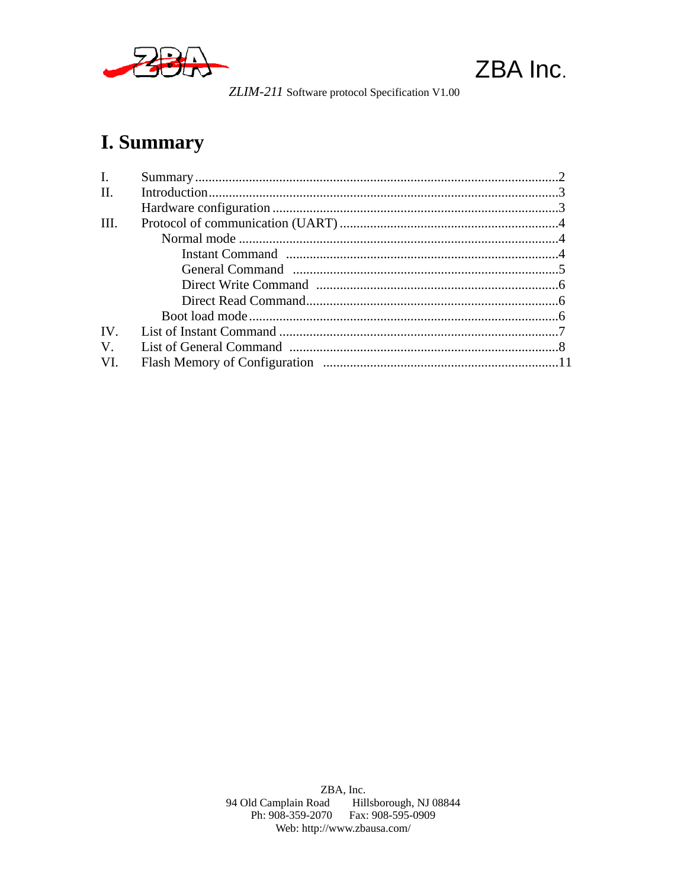



ZLIM-211 Software protocol Specification V1.00

### I. Summary

| I.          |  |
|-------------|--|
| II.         |  |
|             |  |
| III.        |  |
|             |  |
|             |  |
|             |  |
|             |  |
|             |  |
|             |  |
| IV.         |  |
| $V_{\cdot}$ |  |
| VI.         |  |
|             |  |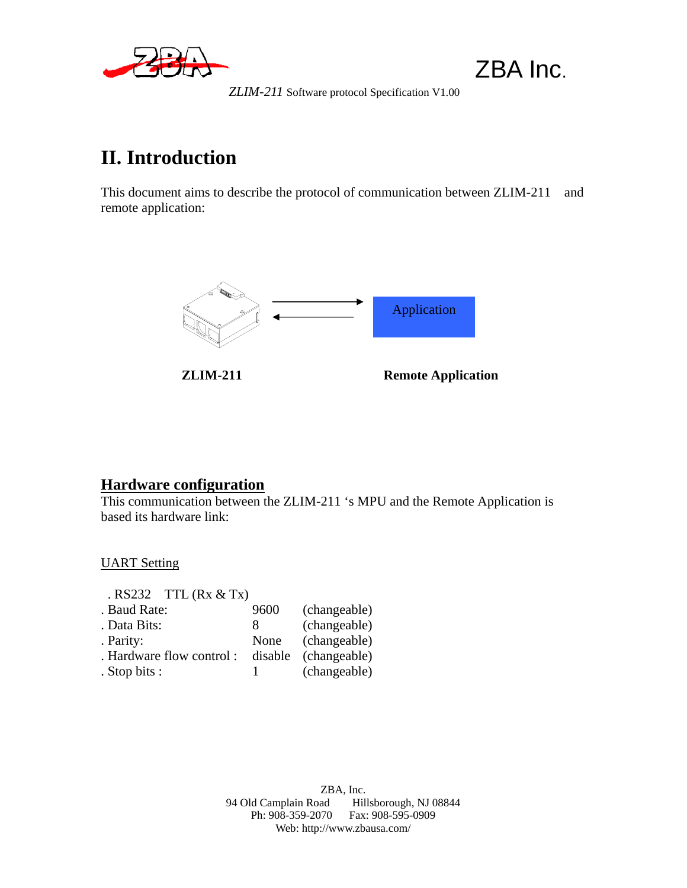

 *ZLIM-211* Software protocol Specification V1.00

### **II. Introduction**

This document aims to describe the protocol of communication between ZLIM-211 and remote application:



#### **Hardware configuration**

This communication between the ZLIM-211 's MPU and the Remote Application is based its hardware link:

UART Setting

| $RS232$ TTL $(Rx & Tx)$   |      |                      |
|---------------------------|------|----------------------|
| . Baud Rate:              | 9600 | (changeable)         |
| . Data Bits:              | 8    | (changeable)         |
| . Parity:                 | None | (changeable)         |
| . Hardware flow control : |      | disable (changeable) |
| . Stop bits :             |      | (changeable)         |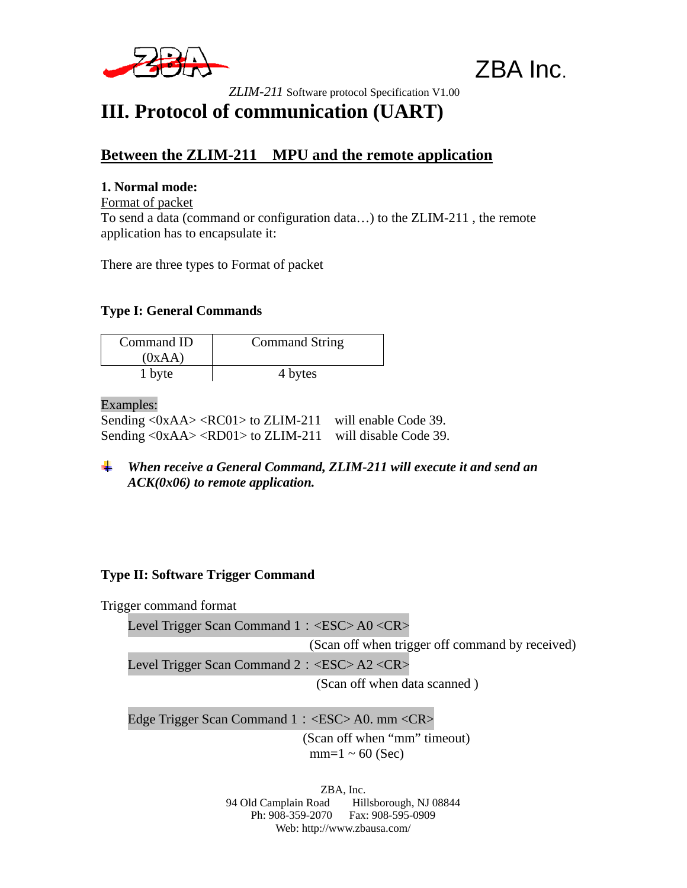

 *ZLIM-211* Software protocol Specification V1.00

### **III. Protocol of communication (UART)**

#### **Between the ZLIM-211 MPU and the remote application**

#### **1. Normal mode:**

Format of packet To send a data (command or configuration data…) to the ZLIM-211 , the remote application has to encapsulate it:

There are three types to Format of packet

#### **Type I: General Commands**

| Command ID<br>(0xAA) | <b>Command String</b> |
|----------------------|-----------------------|
| 1 byte               | 4 bytes               |

Examples:

Sending <0xAA> <RC01> to ZLIM-211 will enable Code 39. Sending <0xAA> <RD01> to ZLIM-211 will disable Code 39.

*When receive a General Command, ZLIM-211 will execute it and send an ACK(0x06) to remote application.* 

#### **Type II: Software Trigger Command**

Trigger command format

Level Trigger Scan Command 1: <ESC>A0 <CR>

(Scan off when trigger off command by received)

Level Trigger Scan Command 2: <ESC> A2 <CR>

(Scan off when data scanned )

Edge Trigger Scan Command 1: <ESC> A0. mm <CR>

 (Scan off when "mm" timeout)  $mm=1 \sim 60$  (Sec)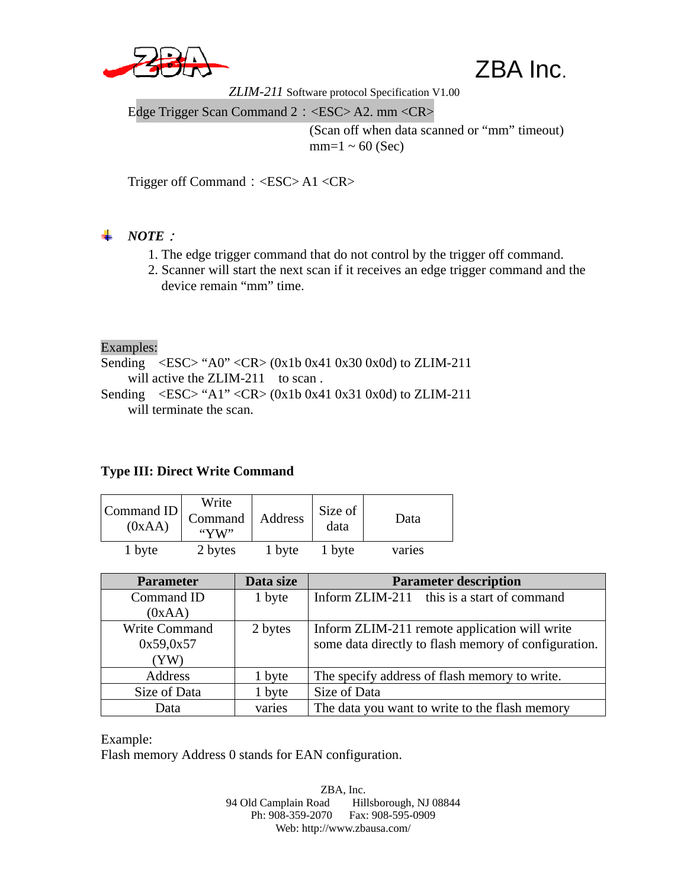

ZBA Inc.

 *ZLIM-211* Software protocol Specification V1.00

Edge Trigger Scan Command 2: <ESC> A2. mm <CR>

(Scan off when data scanned or "mm" timeout)  $mm=1 \sim 60$  (Sec)

Trigger off Command:<ESC> A1 <CR>

#### *NOTE*:

- 1. The edge trigger command that do not control by the trigger off command.
- 2. Scanner will start the next scan if it receives an edge trigger command and the device remain "mm" time.

Examples:

Sending  $\langle ESC \rangle$  "A0"  $\langle CR \rangle$  (0x1b 0x41 0x30 0x0d) to ZLIM-211 will active the ZLIM-211 to scan. Sending  $\langle ESC \rangle$  "A1"  $\langle CR \rangle$  (0x1b 0x41 0x31 0x0d) to ZLIM-211

will terminate the scan.

#### **Type III: Direct Write Command**

| Command ID<br>(0xAA) | Write<br>Command<br>" $YW"$ | Address | Size of<br>data | Data   |
|----------------------|-----------------------------|---------|-----------------|--------|
| 1 byte               | 2 bytes                     | 1 byte  | 1 byte          | varies |

| <b>Parameter</b>     | Data size | <b>Parameter description</b>                         |
|----------------------|-----------|------------------------------------------------------|
| Command ID           | 1 byte    | Inform ZLIM-211 this is a start of command           |
| (0xAA)               |           |                                                      |
| <b>Write Command</b> | 2 bytes   | Inform ZLIM-211 remote application will write        |
| 0x59,0x57            |           | some data directly to flash memory of configuration. |
| (YW)                 |           |                                                      |
| Address              | 1 byte    | The specify address of flash memory to write.        |
| Size of Data         | 1 byte    | Size of Data                                         |
| Data                 | varies    | The data you want to write to the flash memory       |

Example:

Flash memory Address 0 stands for EAN configuration.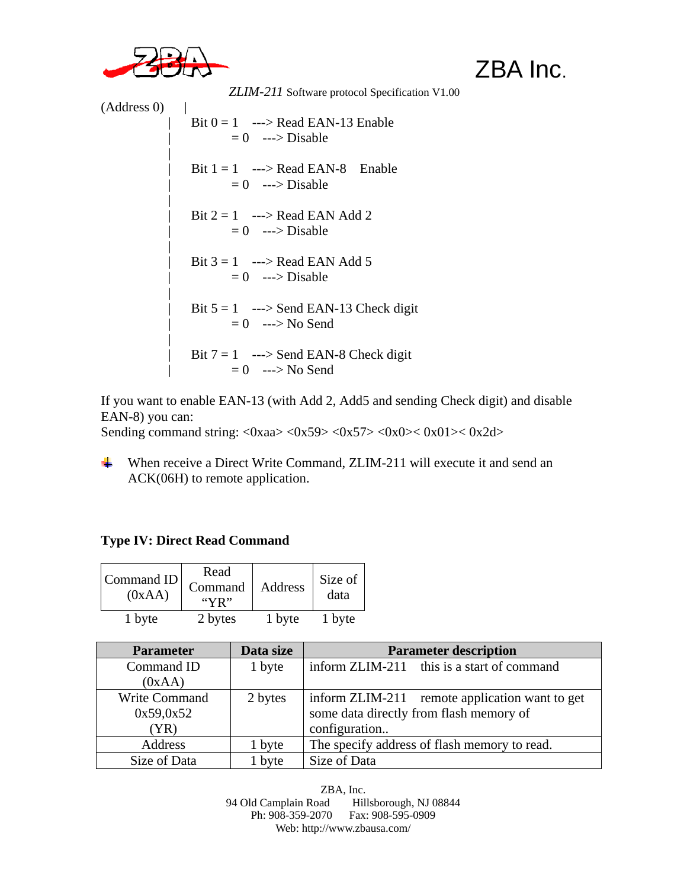

 *ZLIM-211* Software protocol Specification V1.00

(Address 0) |

 $Bit 0 = 1$  ---> Read EAN-13 Enable  $= 0$  ---> Disable |  $Bit 1 = 1$  ---> Read EAN-8 Enable  $= 0$  ---> Disable |  $Bit 2 = 1$  ---> Read EAN Add 2  $= 0$  ---> Disable |  $Bit 3 = 1$  ---> Read EAN Add 5  $= 0$  ---> Disable |  $Bit 5 = 1$  ---> Send EAN-13 Check digit  $= 0$  ---> No Send |  $Bit 7 = 1$  ---> Send EAN-8 Check digit  $= 0$  ---> No Send

If you want to enable EAN-13 (with Add 2, Add5 and sending Check digit) and disable EAN-8) you can:

Sending command string:  $\langle 0xaa \rangle \langle 0x59 \rangle \langle 0x57 \rangle \langle 0x0 \rangle \langle 0x01 \rangle \langle 0x2d \rangle$ 

When receive a Direct Write Command, ZLIM-211 will execute it and send an ACK(06H) to remote application.

#### **Type IV: Direct Read Command**

| Command ID<br>(0xAA) | Read<br>Command<br>``YR" | Address | Size of<br>data |
|----------------------|--------------------------|---------|-----------------|
| 1 byte               | 2 bytes                  | 1 byte  | 1 byte          |

| <b>Parameter</b> | Data size | <b>Parameter description</b>                   |
|------------------|-----------|------------------------------------------------|
| Command ID       | 1 byte    | inform ZLIM-211 this is a start of command     |
| (0xAA)           |           |                                                |
| Write Command    | 2 bytes   | inform ZLIM-211 remote application want to get |
| 0x59,0x52        |           | some data directly from flash memory of        |
| (YR)             |           | configuration                                  |
| Address          | 1 byte    | The specify address of flash memory to read.   |
| Size of Data     | 1 byte    | Size of Data                                   |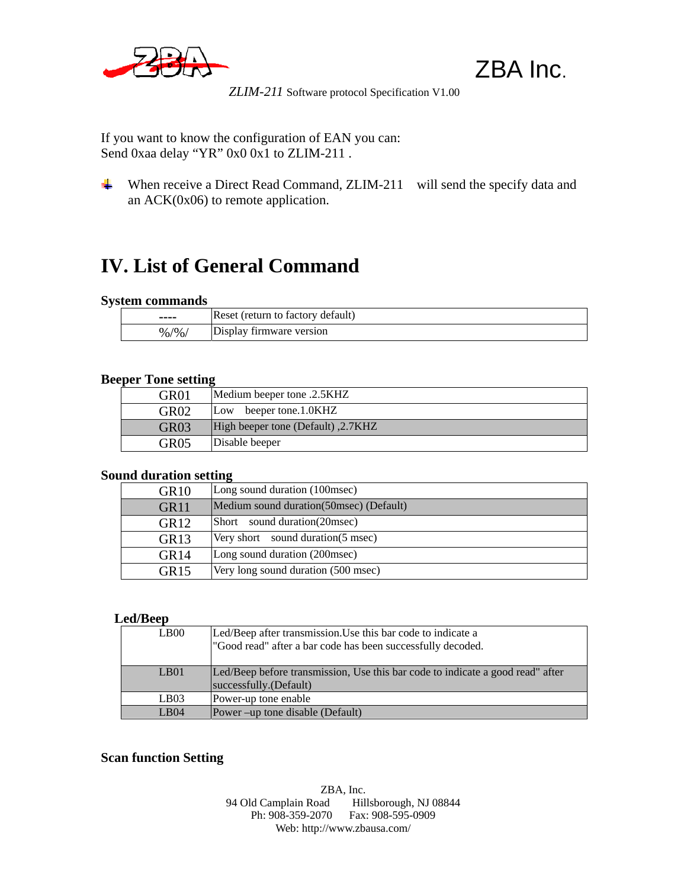

ZBA Inc.

 *ZLIM-211* Software protocol Specification V1.00

If you want to know the configuration of EAN you can: Send 0xaa delay "YR" 0x0 0x1 to ZLIM-211.

When receive a Direct Read Command, ZLIM-211 will send the specify data and an ACK(0x06) to remote application.

### **IV. List of General Command**

#### **System commands**

| ----             | Reset (return to factory default) |
|------------------|-----------------------------------|
| $\frac{9}{6}$ /% | Display firmware version          |

#### **Beeper Tone setting**

| GR <sub>01</sub> | Medium beeper tone .2.5KHZ                  |
|------------------|---------------------------------------------|
| GR <sub>02</sub> | beeper tone.1.0KHZ<br>Low                   |
| GR <sub>03</sub> | [2.7KHZ] High beeper tone (Default), 2.7KHZ |
| GR <sub>05</sub> | Disable beeper                              |

#### **Sound duration setting**

| GR <sub>10</sub> | Long sound duration (100msec)             |
|------------------|-------------------------------------------|
| GR11             | Medium sound duration (50 msec) (Default) |
| GR <sub>12</sub> | Short sound duration (20msec)             |
| GR <sub>13</sub> | Very short sound duration (5 msec)        |
| GR <sub>14</sub> | Long sound duration (200msec)             |
| GR <sub>15</sub> | Very long sound duration (500 msec)       |

#### **Led/Beep**

| L <sub>B00</sub>      | Led/Beep after transmission. Use this bar code to indicate a<br>"Good read" after a bar code has been successfully decoded. |
|-----------------------|-----------------------------------------------------------------------------------------------------------------------------|
| $L$ <sub>B</sub> $01$ | Led/Beep before transmission, Use this bar code to indicate a good read" after<br>successfully.(Default)                    |
| LB03                  | Power-up tone enable                                                                                                        |
| LB04                  | Power –up tone disable (Default)                                                                                            |

#### **Scan function Setting**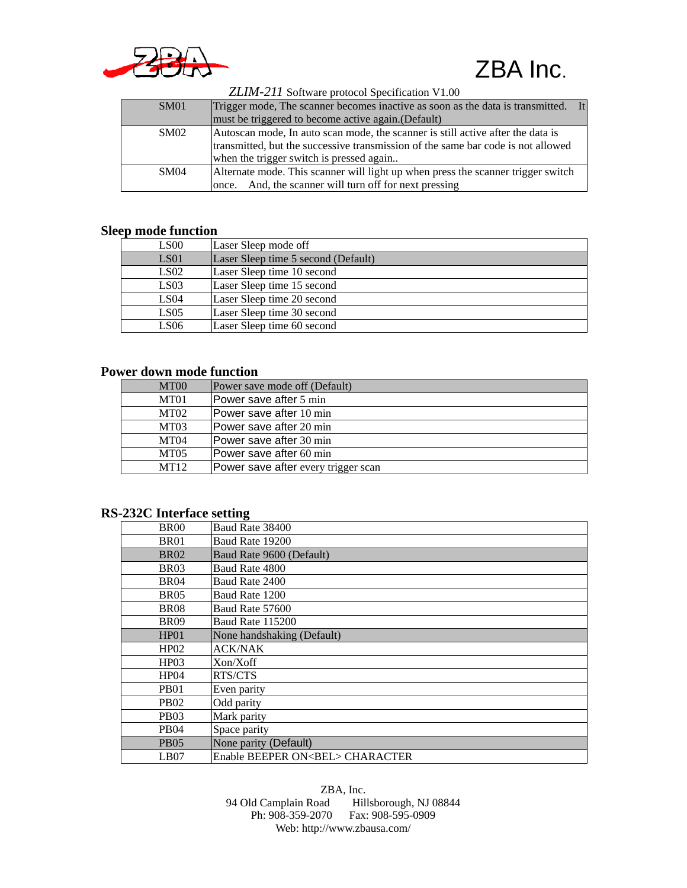

| <b>SM01</b> | Trigger mode, The scanner becomes inactive as soon as the data is transmitted. It |
|-------------|-----------------------------------------------------------------------------------|
|             | must be triggered to become active again. (Default)                               |
| SM02        | Autoscan mode, In auto scan mode, the scanner is still active after the data is   |
|             | transmitted, but the successive transmission of the same bar code is not allowed  |
|             | when the trigger switch is pressed again                                          |
| SM04        | Alternate mode. This scanner will light up when press the scanner trigger switch  |
|             | And, the scanner will turn off for next pressing<br>once.                         |

 *ZLIM-211* Software protocol Specification V1.00

#### **Sleep mode function**

| LS00             | Laser Sleep mode off                |
|------------------|-------------------------------------|
| LS <sub>01</sub> | Laser Sleep time 5 second (Default) |
| LS02             | Laser Sleep time 10 second          |
| LS <sub>03</sub> | Laser Sleep time 15 second          |
| LS <sub>04</sub> | Laser Sleep time 20 second          |
| LS05             | Laser Sleep time 30 second          |
| LS06             | Laser Sleep time 60 second          |

#### **Power down mode function**

| MT <sub>00</sub> | Power save mode off (Default)       |
|------------------|-------------------------------------|
| MT01             | Power save after 5 min              |
| MT02             | lPower save after 10 min            |
| MT03             | Power save after 20 min             |
| MT <sub>04</sub> | Power save after 30 min             |
| <b>MT05</b>      | Power save after 60 min             |
| MT12             | Power save after every trigger scan |

#### **RS-232C Interface setting**

| BR <sub>00</sub> | Baud Rate 38400                        |
|------------------|----------------------------------------|
| BR01             | Baud Rate 19200                        |
| <b>BR02</b>      | Baud Rate 9600 (Default)               |
| BR <sub>03</sub> | Baud Rate 4800                         |
| BR <sub>04</sub> | Baud Rate 2400                         |
| BR <sub>05</sub> | Baud Rate 1200                         |
| <b>BR08</b>      | Baud Rate 57600                        |
| <b>BR09</b>      | <b>Baud Rate 115200</b>                |
| HP01             | None handshaking (Default)             |
| HP02             | <b>ACK/NAK</b>                         |
| HP03             | Xon/Xoff                               |
| HP04             | RTS/CTS                                |
| PB <sub>01</sub> | Even parity                            |
| PB <sub>02</sub> | Odd parity                             |
| PB <sub>03</sub> | Mark parity                            |
| PB <sub>04</sub> | Space parity                           |
| PB <sub>05</sub> | None parity (Default)                  |
| LB07             | Enable BEEPER ON <bel> CHARACTER</bel> |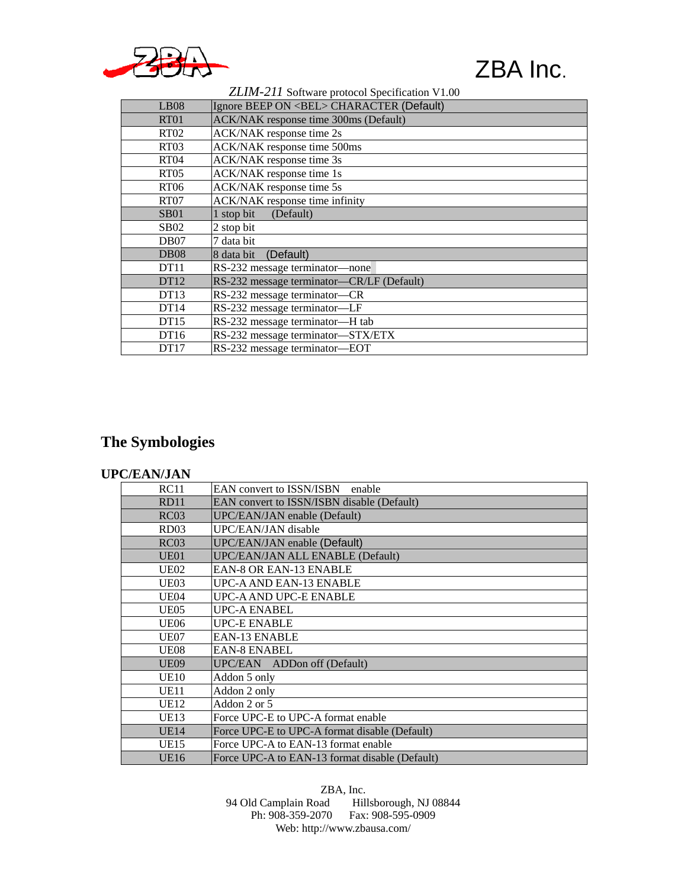

#### *ZLIM-211* Software protocol Specification V1.00

| LB <sub>08</sub>  | Ignore BEEP ON <bel> CHARACTER (Default)</bel> |
|-------------------|------------------------------------------------|
| RT <sub>01</sub>  | <b>ACK/NAK</b> response time 300ms (Default)   |
| RT <sub>02</sub>  | ACK/NAK response time 2s                       |
| RT <sub>03</sub>  | ACK/NAK response time 500ms                    |
| RT <sub>04</sub>  | ACK/NAK response time 3s                       |
| RT <sub>05</sub>  | ACK/NAK response time 1s                       |
| <b>RT06</b>       | ACK/NAK response time 5s                       |
| RT <sub>07</sub>  | ACK/NAK response time infinity                 |
| SB <sub>01</sub>  | 1 stop bit<br>(Default)                        |
| <b>SB02</b>       | 2 stop bit                                     |
| DB07              | 7 data bit                                     |
| D <sub>B</sub> 08 | (Default)<br>8 data bit                        |
| DT <sub>11</sub>  | RS-232 message terminator-none                 |
| DT12              | RS-232 message terminator-CR/LF (Default)      |
| DT13              | RS-232 message terminator-CR                   |
| DT14              | RS-232 message terminator-LF                   |
| DT15              | RS-232 message terminator-H tab                |
| DT <sub>16</sub>  | RS-232 message terminator-STX/ETX              |
| DT17              | RS-232 message terminator-EOT                  |

### **The Symbologies**

#### **UPC/EAN/JAN**

| <b>RC11</b>      | <b>EAN</b> convert to <b>ISSN/ISBN</b> enable  |
|------------------|------------------------------------------------|
| <b>RD11</b>      | EAN convert to ISSN/ISBN disable (Default)     |
| RC03             | UPC/EAN/JAN enable (Default)                   |
| RD <sub>03</sub> | UPC/EAN/JAN disable                            |
| RC03             | <b>UPC/EAN/JAN</b> enable (Default)            |
| UE01             | UPC/EAN/JAN ALL ENABLE (Default)               |
| UE02             | <b>EAN-8 OR EAN-13 ENABLE</b>                  |
| UE03             | UPC-A AND EAN-13 ENABLE                        |
| UE04             | UPC-A AND UPC-E ENABLE                         |
| <b>UE05</b>      | UPC-A ENABEL                                   |
| UE06             | <b>UPC-E ENABLE</b>                            |
| UE07             | <b>EAN-13 ENABLE</b>                           |
| <b>UE08</b>      | <b>EAN-8 ENABEL</b>                            |
| <b>UE09</b>      | UPC/EAN ADDon off (Default)                    |
| <b>UE10</b>      | Addon 5 only                                   |
| UE11             | Addon 2 only                                   |
| UE12             | Addon 2 or 5                                   |
| UE13             | Force UPC-E to UPC-A format enable             |
| UE14             | Force UPC-E to UPC-A format disable (Default)  |
| <b>UE15</b>      | Force UPC-A to EAN-13 format enable            |
| <b>UE16</b>      | Force UPC-A to EAN-13 format disable (Default) |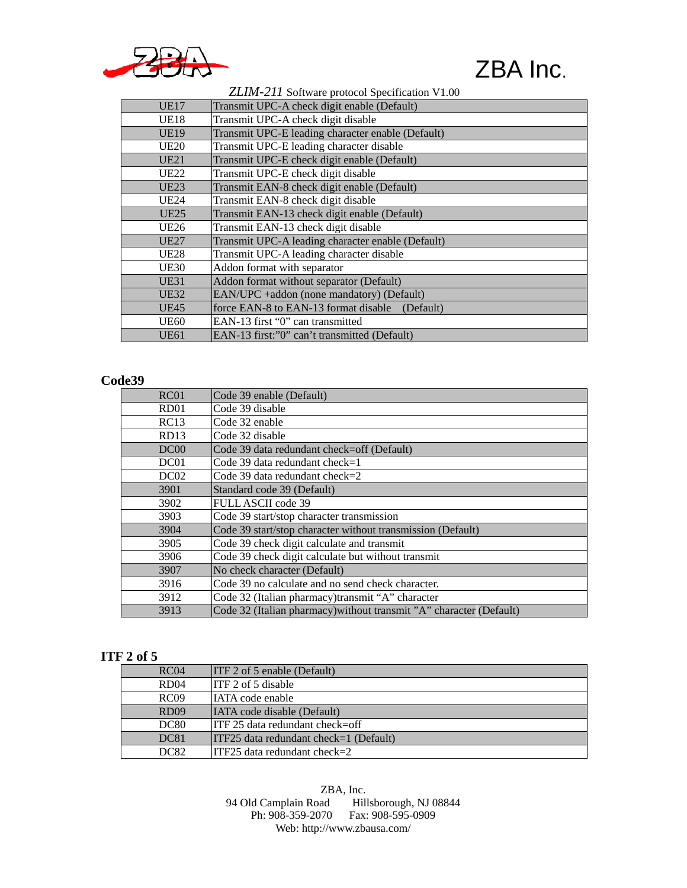

 *ZLIM-211* Software protocol Specification V1.00

| <b>UE17</b>      | Transmit UPC-A check digit enable (Default)       |
|------------------|---------------------------------------------------|
| <b>UE18</b>      | Transmit UPC-A check digit disable                |
| <b>UE19</b>      | Transmit UPC-E leading character enable (Default) |
| <b>UE20</b>      | Transmit UPC-E leading character disable          |
| UE21             | Transmit UPC-E check digit enable (Default)       |
| <b>UE22</b>      | Transmit UPC-E check digit disable                |
| UE23             | Transmit EAN-8 check digit enable (Default)       |
| UE24             | Transmit EAN-8 check digit disable                |
| UE <sub>25</sub> | Transmit EAN-13 check digit enable (Default)      |
| UE26             | Transmit EAN-13 check digit disable               |
| <b>UE27</b>      | Transmit UPC-A leading character enable (Default) |
| <b>UE28</b>      | Transmit UPC-A leading character disable          |
| <b>UE30</b>      | Addon format with separator                       |
| UE31             | Addon format without separator (Default)          |
| <b>UE32</b>      | EAN/UPC + addon (none mandatory) (Default)        |
| <b>UE45</b>      | force EAN-8 to EAN-13 format disable<br>(Default) |
| UE60             | EAN-13 first "0" can transmitted                  |
| UE61             | EAN-13 first:"0" can't transmitted (Default)      |

#### **Code39**

| RC <sub>01</sub> | Code 39 enable (Default)                                            |
|------------------|---------------------------------------------------------------------|
| RD <sub>01</sub> | Code 39 disable                                                     |
| RC13             | Code 32 enable                                                      |
| RD13             | Code 32 disable                                                     |
| DC <sub>00</sub> | Code 39 data redundant check=off (Default)                          |
| DC01             | Code 39 data redundant check=1                                      |
| DC <sub>02</sub> | Code 39 data redundant check= $2$                                   |
| 3901             | Standard code 39 (Default)                                          |
| 3902             | <b>FULL ASCII code 39</b>                                           |
| 3903             | Code 39 start/stop character transmission                           |
| 3904             | Code 39 start/stop character without transmission (Default)         |
| 3905             | Code 39 check digit calculate and transmit                          |
| 3906             | Code 39 check digit calculate but without transmit                  |
| 3907             | No check character (Default)                                        |
| 3916             | Code 39 no calculate and no send check character.                   |
| 3912             | Code 32 (Italian pharmacy)transmit "A" character                    |
| 3913             | Code 32 (Italian pharmacy) without transmit "A" character (Default) |

#### **ITF 2 of 5**

| RC <sub>04</sub> | ITF 2 of 5 enable (Default)            |
|------------------|----------------------------------------|
| RD04             | ITF 2 of 5 disable                     |
| RCO9             | <b>IATA</b> code enable                |
| <b>RD09</b>      | <b>IATA</b> code disable (Default)     |
| <b>DC80</b>      | $ITF 25$ data redundant check=off      |
| <b>DC81</b>      | ITF25 data redundant check=1 (Default) |
| <b>DC82</b>      | $ITF25$ data redundant check=2         |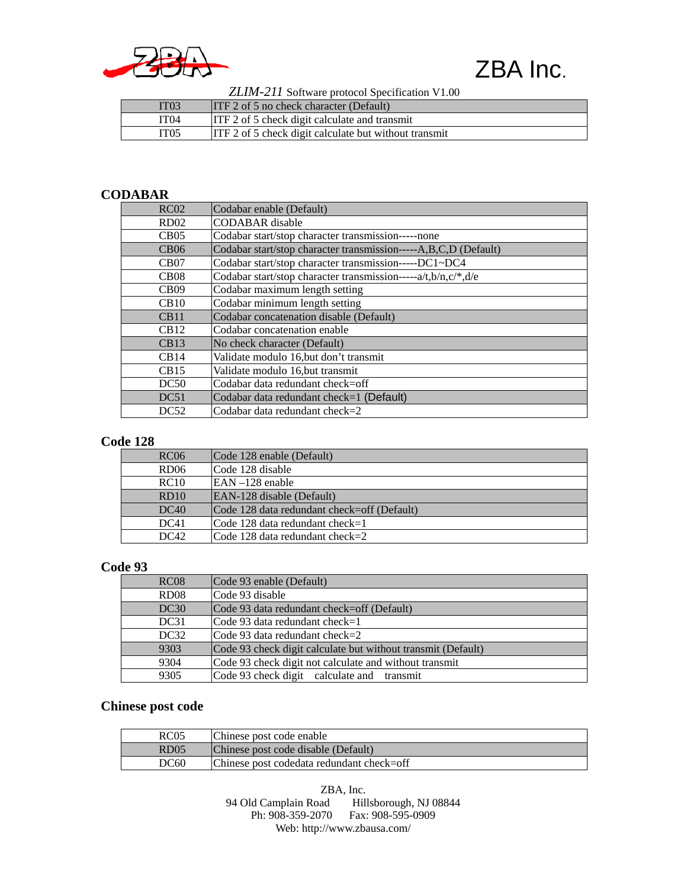

 *ZLIM-211* Software protocol Specification V1.00

| IT <sub>03</sub> | $ITF 2 of 5 no check character (Default)$             |
|------------------|-------------------------------------------------------|
| IT04             | <b>ITF</b> 2 of 5 check digit calculate and transmit  |
| IT05             | ITF 2 of 5 check digit calculate but without transmit |

#### **CODABAR**

| RC02             | Codabar enable (Default)                                        |
|------------------|-----------------------------------------------------------------|
| RD <sub>02</sub> | <b>CODABAR</b> disable                                          |
| CB05             | Codabar start/stop character transmission-----none              |
| CB06             | Codabar start/stop character transmission-----A,B,C,D (Default) |
| CB07             | Codabar start/stop character transmission-----DC1~DC4           |
| CB08             | Codabar start/stop character transmission-----a/t,b/n,c/*,d/e   |
| CB09             | Codabar maximum length setting                                  |
| CB10             | Codabar minimum length setting                                  |
| CB11             | Codabar concatenation disable (Default)                         |
| CB12             | Codabar concatenation enable                                    |
| CB13             | No check character (Default)                                    |
| CB14             | Validate modulo 16, but don't transmit                          |
| CB15             | Validate modulo 16, but transmit                                |
| DC50             | Codabar data redundant check=off                                |
| DC51             | Codabar data redundant check=1 (Default)                        |
| DC52             | Codabar data redundant check= $2$                               |

#### **Code 128**

| RC <sub>06</sub> | Code 128 enable (Default)                   |
|------------------|---------------------------------------------|
| RD <sub>06</sub> | Code 128 disable                            |
| RC10             | $EAN - 128$ enable                          |
| RD10             | EAN-128 disable (Default)                   |
| DC40             | Code 128 data redundant check=off (Default) |
| DC41             | Code 128 data redundant check=1             |
| DC42             | Code 128 data redundant check=2             |

#### **Code 93**

| RC08 | Code 93 enable (Default)                                     |
|------|--------------------------------------------------------------|
| RD08 | Code 93 disable                                              |
| DC30 | Code 93 data redundant check=off (Default)                   |
| DC31 | Code 93 data redundant check=1                               |
| DC32 | Code 93 data redundant check=2                               |
| 9303 | Code 93 check digit calculate but without transmit (Default) |
| 9304 | Code 93 check digit not calculate and without transmit       |
| 9305 | Code 93 check digit calculate and transmit                   |

#### **Chinese post code**

| RC05 | Chinese post code enable                  |
|------|-------------------------------------------|
| RD05 | Chinese post code disable (Default)       |
| DC60 | Chinese post codedata redundant check=off |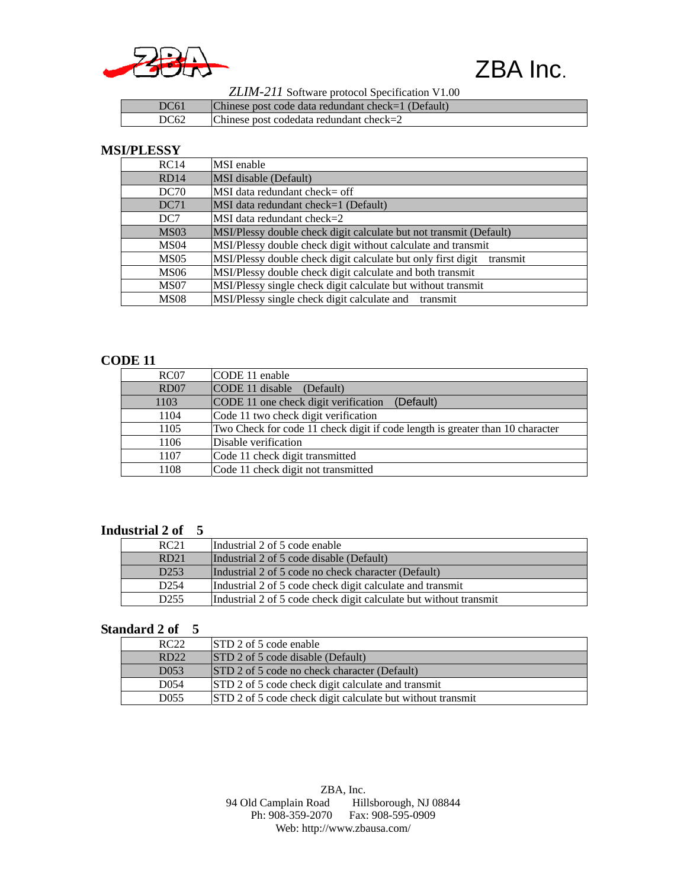

 *ZLIM-211* Software protocol Specification V1.00

| DC61 | $ {\rm Chinese\ post\ code\ data\ redundant\ check=1 (Default)} $ |
|------|-------------------------------------------------------------------|
| DC62 | Chinese post codedata redundant check= $2$                        |

#### **MSI/PLESSY**

| RC14             | MSI enable                                                            |
|------------------|-----------------------------------------------------------------------|
| RD14             | <b>MSI</b> disable (Default)                                          |
| DC70             | MSI data redundant check= off                                         |
| DC71             | MSI data redundant check=1 (Default)                                  |
| DC <sub>7</sub>  | MSI data redundant check=2                                            |
| MS <sub>03</sub> | MSI/Plessy double check digit calculate but not transmit (Default)    |
| MS <sub>04</sub> | MSI/Plessy double check digit without calculate and transmit          |
| MS05             | MSI/Plessy double check digit calculate but only first digit transmit |
| MS <sub>06</sub> | MSI/Plessy double check digit calculate and both transmit             |
| MS07             | MSI/Plessy single check digit calculate but without transmit          |
| MS <sub>08</sub> | MSI/Plessy single check digit calculate and transmit                  |

#### **CODE 11**

| RC07 | CODE 11 enable                                                                |
|------|-------------------------------------------------------------------------------|
| RD07 | CODE 11 disable (Default)                                                     |
| 1103 | (Default)<br>CODE 11 one check digit verification                             |
| 1104 | Code 11 two check digit verification                                          |
| 1105 | Two Check for code 11 check digit if code length is greater than 10 character |
| 1106 | Disable verification                                                          |
| 1107 | Code 11 check digit transmitted                                               |
| 1108 | Code 11 check digit not transmitted                                           |

#### **Industrial 2 of 5**

| RC21             | Industrial 2 of 5 code enable                                     |
|------------------|-------------------------------------------------------------------|
| RD21             | Industrial 2 of 5 code disable (Default)                          |
| D <sub>253</sub> | Industrial 2 of 5 code no check character (Default)               |
| D <sub>254</sub> | Industrial 2 of 5 code check digit calculate and transmit         |
| D <sub>255</sub> | Industrial 2 of 5 code check digit calculate but without transmit |

#### **Standard 2 of 5**

| RC22             | STD 2 of 5 code enable                                     |
|------------------|------------------------------------------------------------|
| RD22             | STD 2 of 5 code disable (Default)                          |
| D <sub>053</sub> | STD 2 of 5 code no check character (Default)               |
| D054             | STD 2 of 5 code check digit calculate and transmit         |
| D055             | STD 2 of 5 code check digit calculate but without transmit |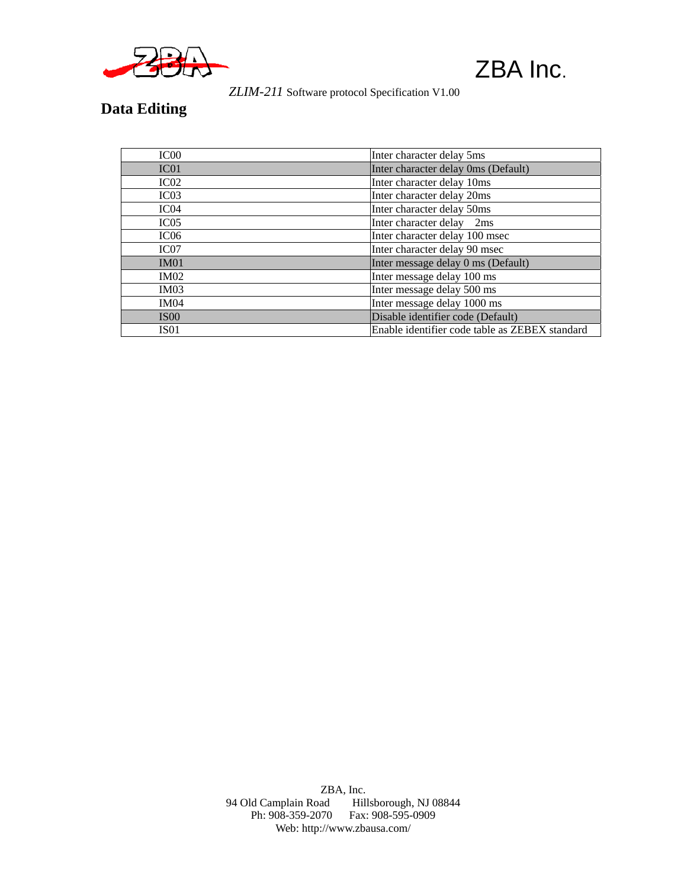

 *ZLIM-211* Software protocol Specification V1.00

### **Data Editing**

| IC <sub>00</sub> | Inter character delay 5ms                      |
|------------------|------------------------------------------------|
| IC <sub>01</sub> | Inter character delay 0ms (Default)            |
| IC02             | Inter character delay 10ms                     |
| IC <sub>03</sub> | Inter character delay 20ms                     |
| IC <sub>04</sub> | Inter character delay 50ms                     |
| IC05             | Inter character delay 2ms                      |
| IC <sub>06</sub> | Inter character delay 100 msec                 |
| IC07             | Inter character delay 90 msec                  |
| IM01             | Inter message delay 0 ms (Default)             |
| <b>IM02</b>      | Inter message delay 100 ms                     |
| IM03             | Inter message delay 500 ms                     |
| <b>IM04</b>      | Inter message delay 1000 ms                    |
| <b>IS00</b>      | Disable identifier code (Default)              |
| <b>IS01</b>      | Enable identifier code table as ZEBEX standard |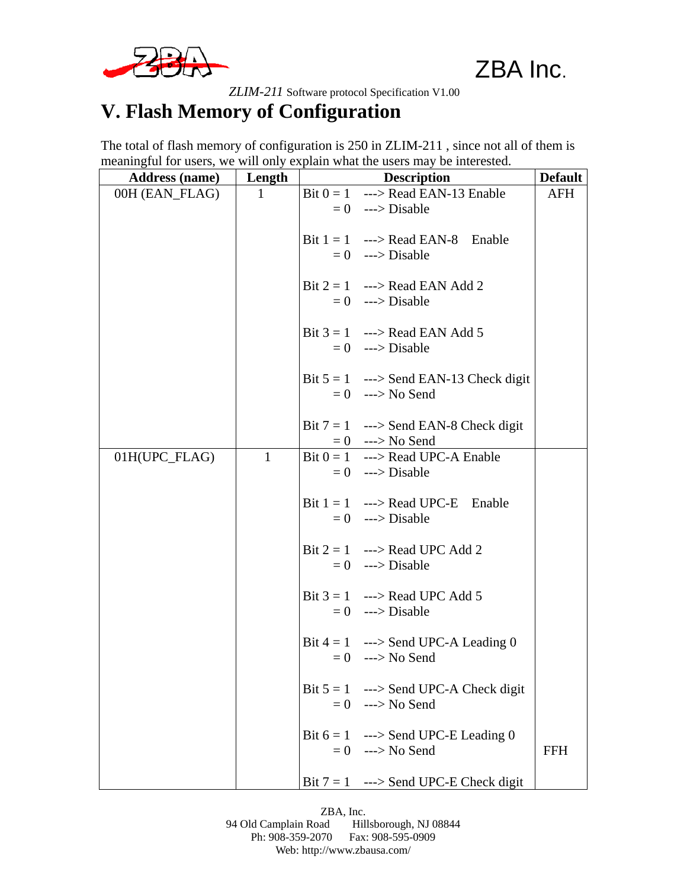

 *ZLIM-211* Software protocol Specification V1.00

### **V. Flash Memory of Configuration**

The total of flash memory of configuration is 250 in ZLIM-211 , since not all of them is meaningful for users, we will only explain what the users may be interested.

| <b>Address (name)</b> | Length       | <b>Description</b>                       | <b>Default</b> |
|-----------------------|--------------|------------------------------------------|----------------|
| 00H (EAN_FLAG)        | 1            | Bit $0 = 1$ ---> Read EAN-13 Enable      | <b>AFH</b>     |
|                       |              | $= 0$ ---> Disable                       |                |
|                       |              | Bit $1 = 1$ ---> Read EAN-8 Enable       |                |
|                       |              | $= 0$ ---> Disable                       |                |
|                       |              |                                          |                |
|                       |              | Bit $2 = 1$ ---> Read EAN Add 2          |                |
|                       |              | $= 0$ ---> Disable                       |                |
|                       |              | Bit $3 = 1$ ---> Read EAN Add 5          |                |
|                       |              | $= 0$ ---> Disable                       |                |
|                       |              |                                          |                |
|                       |              | Bit $5 = 1$ ---> Send EAN-13 Check digit |                |
|                       |              | $= 0$ ---> No Send                       |                |
|                       |              |                                          |                |
|                       |              | Bit $7 = 1$ ---> Send EAN-8 Check digit  |                |
|                       |              | $= 0$ ---> No Send                       |                |
| 01H(UPC FLAG)         | $\mathbf{1}$ | Bit $0 = 1$ ---> Read UPC-A Enable       |                |
|                       |              | $= 0$ ---> Disable                       |                |
|                       |              |                                          |                |
|                       |              | Bit $1 = 1$ ---> Read UPC-E Enable       |                |
|                       |              | $= 0$ ---> Disable                       |                |
|                       |              | Bit $2 = 1$ ---> Read UPC Add 2          |                |
|                       |              | $= 0$ ---> Disable                       |                |
|                       |              |                                          |                |
|                       |              | Bit $3 = 1$ ---> Read UPC Add 5          |                |
|                       |              | $= 0$ ---> Disable                       |                |
|                       |              | Bit $4 = 1$ ---> Send UPC-A Leading 0    |                |
|                       |              | $= 0$ ---> No Send                       |                |
|                       |              |                                          |                |
|                       |              | Bit $5 = 1$ ---> Send UPC-A Check digit  |                |
|                       |              | $= 0$ ---> No Send                       |                |
|                       |              |                                          |                |
|                       |              | Bit $6 = 1$ ---> Send UPC-E Leading 0    |                |
|                       |              | $= 0$ ---> No Send                       | <b>FFH</b>     |
|                       |              | Bit $7 = 1$ ---> Send UPC-E Check digit  |                |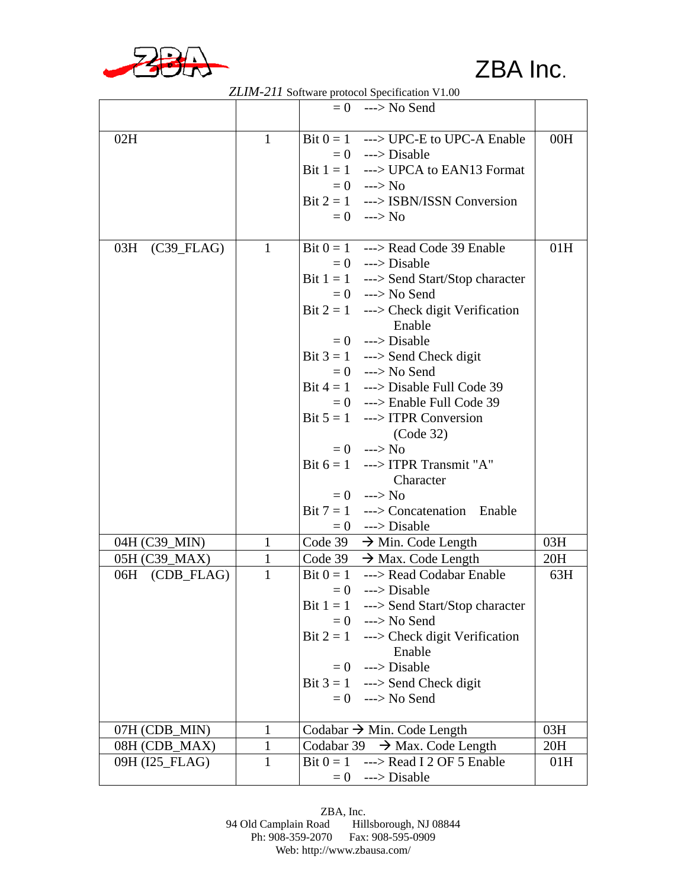

|                |              | <i><b>ZZLIM-211 SOITWALE PROTOCOL SPECIFICATION V LOV</b></i> |     |
|----------------|--------------|---------------------------------------------------------------|-----|
|                |              | $= 0$ ---> No Send                                            |     |
| 02H            | $\mathbf{1}$ | Bit $0 = 1$ ---> UPC-E to UPC-A Enable                        | 00H |
|                |              | $= 0$ ---> Disable                                            |     |
|                |              |                                                               |     |
|                |              | Bit $1 = 1$ ---> UPCA to EAN13 Format                         |     |
|                |              | $= 0$ ---> No                                                 |     |
|                |              | Bit $2 = 1$ ---> ISBN/ISSN Conversion                         |     |
|                |              | $= 0$ ---> No                                                 |     |
| 03H (C39_FLAG) | $\mathbf{1}$ | Bit $0 = 1$ ---> Read Code 39 Enable                          | 01H |
|                |              | $= 0$ ---> Disable                                            |     |
|                |              | Bit $1 = 1$ ---> Send Start/Stop character                    |     |
|                |              | $= 0$ ---> No Send                                            |     |
|                |              | Bit $2 = 1$ ---> Check digit Verification                     |     |
|                |              | Enable                                                        |     |
|                |              | $= 0$ ---> Disable                                            |     |
|                |              | Bit $3 = 1$ ---> Send Check digit                             |     |
|                |              | $= 0$ ---> No Send                                            |     |
|                |              | Bit $4 = 1$ ---> Disable Full Code 39                         |     |
|                |              | $= 0$ ---> Enable Full Code 39                                |     |
|                |              | Bit $5 = 1$ ---> ITPR Conversion                              |     |
|                |              | (Code 32)                                                     |     |
|                |              | $= 0$ ---> No                                                 |     |
|                |              | Bit $6 = 1$ ---> ITPR Transmit "A"                            |     |
|                |              | Character                                                     |     |
|                |              | $= 0$ ---> No                                                 |     |
|                |              | Bit $7 = 1$ ---> Concatenation Enable                         |     |
|                |              |                                                               |     |
| 04H (C39_MIN)  | $\mathbf{1}$ | $= 0$ ---> Disable<br>Code $39 \rightarrow$ Min. Code Length  | 03H |
| 05H (C39_MAX)  | $\mathbf{1}$ | Code 39 $\rightarrow$ Max. Code Length                        | 20H |
| 06H (CDB_FLAG) | $\mathbf{1}$ | Bit $0 = 1$ ---> Read Codabar Enable                          | 63H |
|                |              | $= 0$ ---> Disable                                            |     |
|                |              |                                                               |     |
|                |              | Bit $1 = 1$ ---> Send Start/Stop character                    |     |
|                |              | $= 0$ ---> No Send                                            |     |
|                |              | Bit $2 = 1$ ---> Check digit Verification                     |     |
|                |              | Enable                                                        |     |
|                |              | $= 0$ ---> Disable                                            |     |
|                |              | Bit $3 = 1$ ---> Send Check digit                             |     |
|                |              | $= 0$ ---> No Send                                            |     |
| 07H (CDB_MIN)  | $\mathbf{1}$ | Codabar $\rightarrow$ Min. Code Length                        | 03H |
| 08H (CDB_MAX)  | 1            | Codabar 39 $\rightarrow$ Max. Code Length                     | 20H |
| 09H (I25_FLAG) | $\mathbf{1}$ | Bit $0 = 1$ ---> Read I 2 OF 5 Enable                         | 01H |
|                |              | $= 0$ ---> Disable                                            |     |

 *ZLIM-211* Software protocol Specification V1.00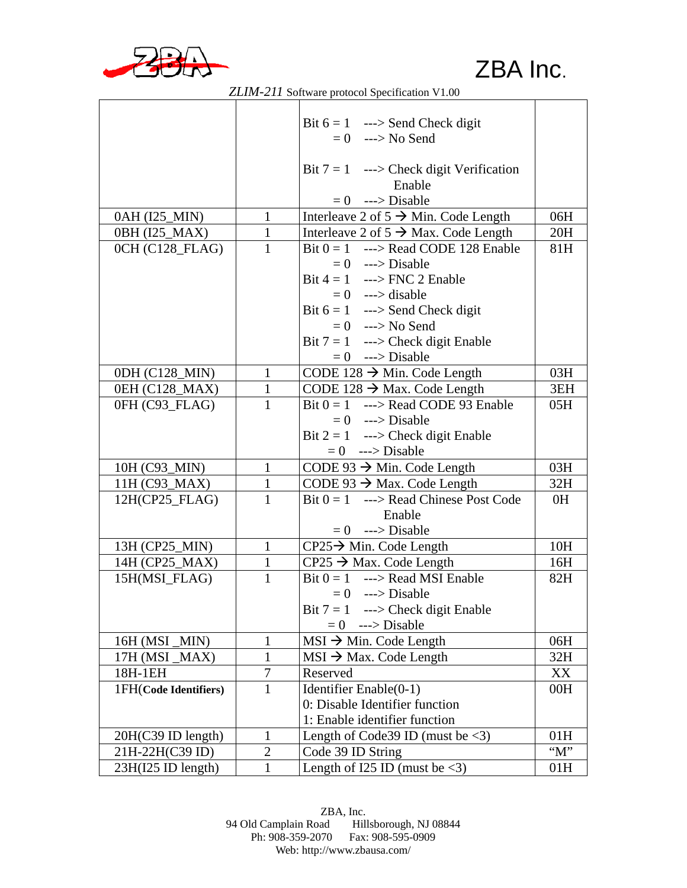

|                       |                  | Bit $6 = 1$ ---> Send Check digit                  |       |
|-----------------------|------------------|----------------------------------------------------|-------|
|                       |                  | $= 0$ ---> No Send                                 |       |
|                       |                  |                                                    |       |
|                       |                  | Bit $7 = 1$ ---> Check digit Verification          |       |
|                       |                  | Enable                                             |       |
|                       |                  | $= 0$ ---> Disable                                 |       |
| 0AH (I25_MIN)         | $\mathbf{1}$     | Interleave 2 of $5 \rightarrow$ Min. Code Length   | 06H   |
| 0BH (I25_MAX)         | $\mathbf{1}$     | Interleave 2 of $5 \rightarrow$ Max. Code Length   | 20H   |
| OCH (C128 FLAG)       | $\mathbf{1}$     | Bit $0 = 1$ ---> Read CODE 128 Enable              | 81H   |
|                       |                  | $= 0$ ---> Disable                                 |       |
|                       |                  | Bit $4 = 1$ ---> FNC 2 Enable                      |       |
|                       |                  | $= 0$ ---> disable                                 |       |
|                       |                  | Bit $6 = 1$ ---> Send Check digit                  |       |
|                       |                  | $= 0$ ---> No Send                                 |       |
|                       |                  | Bit $7 = 1$ ---> Check digit Enable                |       |
|                       |                  | $= 0$ ---> Disable                                 |       |
| 0DH (C128_MIN)        | $\mathbf{1}$     | CODE 128 $\rightarrow$ Min. Code Length            | 03H   |
| 0EH (C128_MAX)        | $\mathbf{1}$     | CODE 128 $\rightarrow$ Max. Code Length            | 3EH   |
| 0FH (C93_FLAG)        | $\mathbf{1}$     | Bit $0 = 1$ ---> Read CODE 93 Enable               | 05H   |
|                       |                  | $= 0$ ---> Disable                                 |       |
|                       |                  | Bit $2 = 1$ ---> Check digit Enable                |       |
|                       |                  | $= 0$ ---> Disable                                 |       |
| 10H (C93_MIN)         | $\mathbf{1}$     | CODE 93 $\rightarrow$ Min. Code Length             | 03H   |
| 11H (C93_MAX)         | $\mathbf{1}$     | CODE 93 $\rightarrow$ Max. Code Length             | 32H   |
| $12H(CP25_FLAG)$      | $\mathbf{1}$     | Bit $0 = 1$ ---> Read Chinese Post Code            | 0H    |
|                       |                  | Enable                                             |       |
|                       |                  | $= 0$ ---> Disable                                 |       |
| 13H (CP25_MIN)        | $\mathbf{1}$     | $CP25 \rightarrow$ Min. Code Length                | 10H   |
| 14H (CP25_MAX)        | $\mathbf{1}$     | $CP25 \rightarrow Max$ . Code Length               | 16H   |
| 15H(MSI_FLAG)         | $\mathbf{1}$     | Bit $0 = 1$ ---> Read MSI Enable                   | 82H   |
|                       |                  | $= 0$ ---> Disable                                 |       |
|                       |                  | Bit $7 = 1$ ---> Check digit Enable                |       |
|                       |                  | $= 0$ ---> Disable                                 |       |
| 16H (MSI_MIN)         | 1                | $MSI \rightarrow Min$ . Code Length                | 06H   |
| 17H (MSI_MAX)         | $\mathbf{1}$     | $MSI \rightarrow Max$ . Code Length                | 32H   |
| 18H-1EH               | $\boldsymbol{7}$ | Reserved                                           | XX    |
| 1FH(Code Identifiers) | $\mathbf{1}$     | Identifier Enable(0-1)                             | 00H   |
|                       |                  | 0: Disable Identifier function                     |       |
|                       |                  | 1: Enable identifier function                      |       |
| 20H(C39 ID length)    | 1                | Length of Code39 ID (must be $\langle 3 \rangle$ ) | 01H   |
| 21H-22H(C39 ID)       | $\overline{2}$   | Code 39 ID String                                  | $M$ " |
| 23H(I25 ID length)    | $\mathbf{1}$     | Length of I25 ID (must be $\langle 3 \rangle$ )    | 01H   |

 *ZLIM-211* Software protocol Specification V1.00